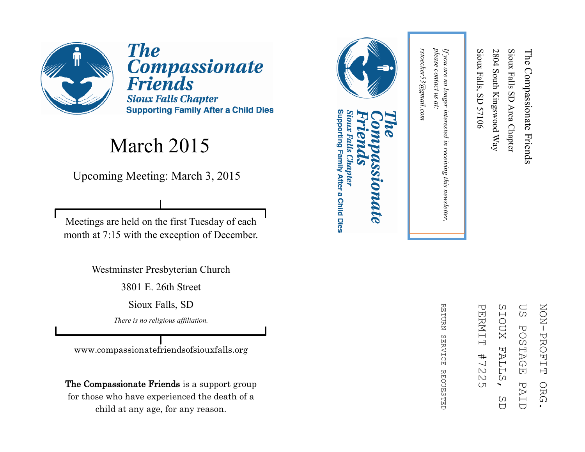

**The** Compassionate<br>Friends **Sioux Falls Chapter Supporting Family After a Child Dies** 

#### March 2015

Upcoming Meeting: March 3, 2015

Meetings are held on the first Tuesday of each month at 7:15 with the exception of December.

Westminster Presbyterian Church

3801 E. 26th Street

Sioux Falls, SD

*There is no religious affiliation.*

www.compassionatefriendsofsiouxfalls.org

The Compassionate Friends is a support group for those who have experienced the death of a child at any age, for any reason.



#### Supporting Family After a Child Dies Sioux Falls Chapter **DIDATE**

ΩS **NON-PROFIT** ZOZI PROFIT ORG. PERNIT PERMIT #7225 SIOUX SIOUX FALLS, SD US POSTAGE PAID**POSTAGE FALL**  $#$  $\frac{1}{2}$  $\mathbbmss{N}$ Ω PAI ORG  $\overline{(\Pi)}$ C)  $\overline{C}$  $\overline{U}$ 

RETURN REFURN SERVICE REQUESTED **SERVICE REQUESTED** 

please contact us at: *please contact us at:*  rstoecker53@gmail.com *rstoecker53@gmail.com*

*If you are no longer interested in receiving this newsletter,* 

in receiving this newsletter,

If you are no longer interested

Sioux Falls, SD 57106

Sioux Falls, SD 57106

2804 South Kingswood Way

2804 South Kingswood Way

Sioux Falls SD Area Chapter

Sioux Falls SD Area Chapter

The Compassionate Friends

The Compassionate Friends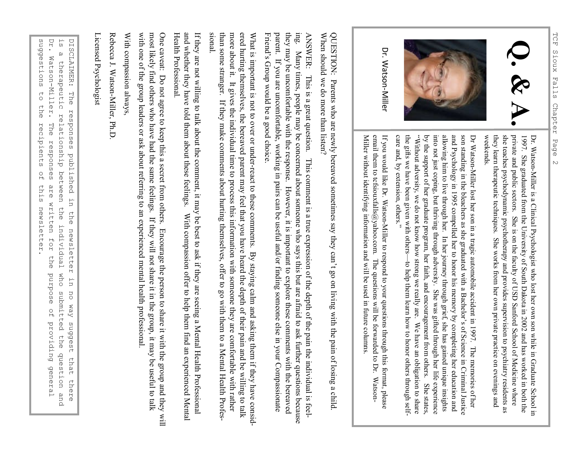



Dr. Watson-Miller

> Dr. WatsonDr. Watson-Miller is a Clinical Psychologist who lost her own son while in Graduate School in Miller is a Clinical Psychologist who lost her own son while in Graduate School in weekends. they learn therapeutic techniques. She works from her own private practice on evenings and she teaches psychodynamic psychotherapy and provides supervision to psychiatry residents as private and public sectors. She is on the faculty of USD Sanford School of Medicine where 1997. She graduated from the University of South Dakota in 2002 and has worked in both the private and public sectors. She is on the faculty of USD Sanford School of Medicine where she traches psychodynamic psychotherapy a

and Psychology in 1995 compelled her to honor his memory by completing her education and allowing him to live through her. In her journey through grief, she has gained unique insights into not just coping, but thriving th son standing in the bleachers as she graduated with a Bachelor's of Science in Criminal Justice by the support of her graduate program, her faith, and encouragement from others. She states, the gifts we have been given with others "Without adversity, we do not know how strong we really are. We have an obligation to share into not just coping, but thriving through adversity. She was gifted through her life experience allowing him to live through her. In her journey through grief, she has gained unique insights son standing in the bleachers as she graduated with a Bachelor's of Science in Criminal Justice Dr Watson

Miller without identifying information and will be used in future columns. email them to tcfsiouxfalls@yahoo.com. The questions will be forwarded to Dr. Watson-If you would like Dr. Watson-Miller to respond to your questions through this format, please entan uteun to terstouration@yantor.com. The questions with the tot wature to total warsour<br>Miller without identifying information and will be used in future columns. email them to tcfsiouxfalls@yahoo.com. The questions will be forwarded to Dr. WatsonIf you would like Dr. WatsonMiller to respond to your questions through this format, please

When should we do more than listen? When should we do more than listen? QUESTION: Parents who are newly bereaved sometimes say they can't go on living with the pain of losing a child QUESTION: Parents who are newly bereaved sometimes say they can 't go on living with the pain of losing a child.

they may be uncomfortable with the response. However, it is important to explore these comments with the bereaved Friend's Group would be a good choice. parent. If you are uncomfortable, working in pairs can be useful and/or finding someone else in your Compassionate parent. If you are uncomfortable, working in pairs can be useful and/or finding someone else in your Compassionate they may be uncomfortable with the response. However, it is important to explore these comments with the bereaved ANSWER: This is a great question. This comment is a true expression of the depth of the pain the individual is feel-ANSWER: This is a great question. This comment is a true expression of the depth of the pain the individual is feeling. Many times, people may be concerned about someone who says this but are afraid to ask further questions because Many times, people may be concerned about someone who says this but are afraid to ask further questions because 's Group would be a good choice.

What is important is not to over or underWhat is important is not to over or under-react to these comments. By staying calm and asking them if they have considreact to these comments. By staying calm and asking them if they have considered hurting themselves, the bereaved parent may feel that you have heard the depth of their pain and be willing to talk<br>than some stranger. If they make comments about hurting themselves, offer to go with them to a Mental

Licensed Psychologist Licensed Psychologist

 $\mathbf{D} \mathbf{r}$  . suggestions Ω<br>Β DISCLAIMER: The responses published in the newsletter in suggestions to the recipients of this newsletter. DISCLAIMER: The responses published in the newsletter in no way suggest that there<br>is a therapeutic relationship between the individual who submitted the question and<br>Dr. Watson-Miller. The responses are written for the pu Dr. Watson is a therapeutic relationship between the individual who submitted the question and  $\omega$ Watson-Miller. therapeutic relationship between the individual who submitted the question and  $\begin{array}{c}\n\uparrow \\
\downarrow\n\end{array}$ the recipients The responses  $\alpha$ are written for this newsletter. the esodind no way suggest that there  $\frac{0}{1}$ providing general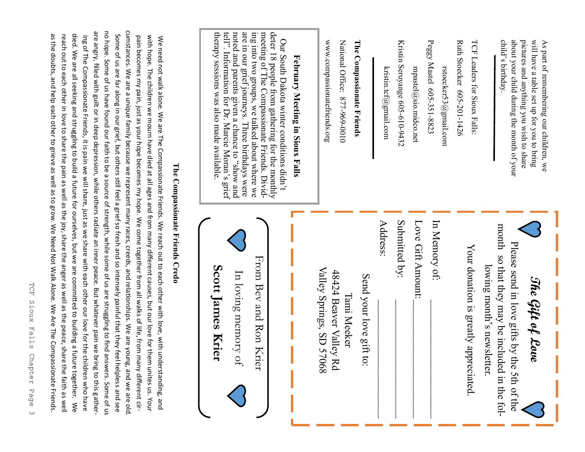about your child during the month of your Peggy pictures and anything you wish to share will have a table set up for you to bring TCF Leaders for Sioux Falls:<br>Ruth Stoecker 605-201-1426 pictures and anything you wish to share will have a table set up for you to bring As part of remembering our children, we Peggy Mastel 605Ruth Stoecker 605 child about your child during the month of your s part of remembering our children, we 's birthday. mpastel@sio.midco.net rstoecker53@gmail.com mpastel@sio.midco.net rstoecker53@gmail.com -351-8823

Kristin Seruyange 605-610-9432

kristin.tcf@gmail.com kristin.tcf@gmail.com

### The Compassionate Friends **The Compassionate Friends** -969-0010

National Office: 877-969-0010 National Office: 877

www.compassionatefriends.org www.compassionatefriends.org

## February Meeting in Sioux Falls **February Meeting in Sioux Falls**

therapy sessions was also made available tell". Information for Dr. Marcie Moran's grief noted and parents given a chance to "show and are in our grief journeys. Three birthdays were ing into two groups, we talked about where we meeting of The Compassionate Friends. Dividdeter 18 people from gathering for the monthly therapy sessions was also made available. tell". Information for Dr. Marcie Moran's grief noted and parents given a chance to are in our grief journeys. Three birthdays were ing into two groups, we talked about where we meeting of The Compassionate Friends. Dividdeter 18 people from gathering for the monthly Our South Dakota winter conditions didn't Our South Dakota winter conditions didn't pue *s*ous,

| From Bev and Ron Krier<br>Scott James Krier<br>Valley Springs, SD 57068<br>48424 Beaver Valley Rd<br>In loving memory of<br>Tami Meeker | Address:<br>Send your love gift to: | Love Gift Amount:<br>Submitted by: | In Memory of: | Your donation is greatly appreciated. | month so that they may be included in the fol-<br>Please send in love gifts by the 5th of the<br>lowing month's newsletter.<br>The Gift of Love |
|-----------------------------------------------------------------------------------------------------------------------------------------|-------------------------------------|------------------------------------|---------------|---------------------------------------|-------------------------------------------------------------------------------------------------------------------------------------------------|
|-----------------------------------------------------------------------------------------------------------------------------------------|-------------------------------------|------------------------------------|---------------|---------------------------------------|-------------------------------------------------------------------------------------------------------------------------------------------------|

## The Compassionate Friends Credo **The Compassionate Friends Credo**

cumstances. We are a unique family because we represent many races, creeds, and relationships. We are young, and we are old no hope. Some of us have found our faith to be a source of strength, while some of us are struggling to find answers. Some of us cumstances. We are a unique family because we represent many races, creeds, and relationships. We are young, and we are old. are angry, filled with guilt or in deep depression, while others radiate an inner peace. But whatever pain we bring to this gatherare angry, filled with guilt or in deep depression, while others radiate an inner peace. But whatever pain we bring to this gatherno hope. Some of us have found our faith to be a source of strength, while some of us are struggling to find answers. Some of as the doubts, and help each other to grieve as well as to grow. We Need Not Walk Alone. We Are The Compassionate Friends. reach out to each other in love to share the pain as well as the joy, share the anger as well as the peace, share the faith as well died. We are all seeking and struggling to build a future for ourselves, but we are committed to building a future together. We Some of us are far along in our grief, but others still feel a grief so fresh and so intensely painful that they feel helpless and see as the doubts, and help each other to grieve as well as to grow. We Need Not Walk Alone. We Are The Compassionate Friends. reach out to each other in love to share the pain as well as the joy, share the anger as well as the peace, share the faith as well died. We are all seeking and struggling to build a future for ourselves, but we are committed to building a future together. ing of The Compassionate Friends, it is pain we will share, just as we share with each other our love for the children who have Some of us are far along in our grief, but others still feel a grief so fresh and so intensely painful that they feel helpless and see pain becomes my pain, just as your hope becomes my hope. We come together from all walks of life, from many different cirwith hope. The children we mourn have died at all ages and from many different causes, but our love for them unites us. Your with hope. The children we mourn have died at all ages and from many different causes, but on the died at all ages using the move for the move for the move for the many different causes, but on the move for the move for th We need not walk alone. We are The Compassionate Friends. We reach out to each other with love, with understanding, and ing Of The Compassionate Friends, it is pain we will share, just as we share with each other our love for the children who have  $\kappa$ pain becomes my pain, just as your hope becomes my hope. We come together from all walks of life, from many different cir-We need not walk alone. We are The Compassionate Friends. We reach out to each other with love, with understanding, and

TCF Sioux TCF Sioux Falls Chapter Page 3 Falls Chapter Page  $\omega$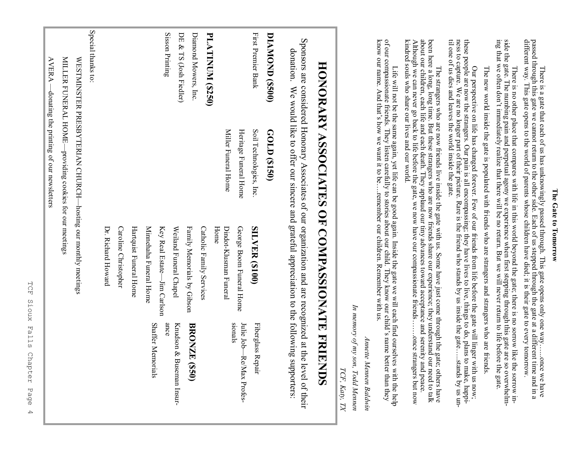#### The Gate to Tomorrow **The Gate to Tomorrow**

There is a gate that each of us has unknowingly passed through. This gate opens only one way......once we have passed through this gate we cannot return to the other side. Each of us stepped through the gate at a differen different way. This gate opens to the world of parents whose children have died; it is their gate to every tomorrow. passed through this gate we cannot return to the other side. Each of us stepped through the gate at a different time and in a There is a gate that each of us has unknowingly passed through. This gate opens only one way…...once we have

side the gate. The numbing pain and perpetual agony we experience when first stepping through this gate are so overwhelm-<br>ing that we often don't immediately realize that there will be no return. But we will never return t side the gate. The numbing pain and perpetual agony we experience when first stepping through this gate are so overwhelm-<br>ing that we often don't immediately realize that there will be no return. But we will never return t There is no other place that compares with life in this world beyond the gate; there is no sorrow like the sorrow in-There is no other place that compares with life in this world beyond the gate; there is no sorrow like the sorrow in-

The new world inside the gate is populated with friends who are strangers and strangers who are friends The new world inside the gate is populated with friends who are strangers and strangers who are friends.

til one of us dies and leaves the world inside the gate these people are now the strangers. Our pain is all encompassing; they have lives to live, things to do, plans to make, happi-<br>ness to capture. We are no longer part of their picture. Rare is the friend who stands by us in til one of us dies and leaves the world inside the gate. ness to capture. We are no longer part of their picture. Rare is the friend who stands by us inside the gate these people are now the strangers. Our pain is all encompassing; they have lives to live, things to do, plans to make, happi- Our perspective on life has changed forever. Few of our friends from life before the gate will linger with us now; Our perspective on life has changed forever. Few of our friends from life before the gate will linger with us now; …..stands by us un-

been here a long, long time. But these strangers who are now friends share our experience; they understand our need to talk about our children, each life and each death. They applaud our tiny advances toward acceptance and kindred souls who share our lives and our world kindred souls who share our lives and our world. Although we can never go back to life before the gate, we now have our compassionate friends about our children, each life and each death. They applaud our tiny advances toward acceptance and serenity and peace. been here a long, long time. But these strangers who are now friends share our experience; they understand our need to talk The strangers who are now friends live inside the gate with us. Some have just come through the gate; others have The strangers who are now friends live inside the gate with us. Some have just come through the gate; others have …….once strangers but now .once strangers but now

Life will not be the same again, yet life can be good again. Inside the gate we will each find ourselves with the help of our compassionate friends. They listen carefully to stories about our child. They know our child's know our name. And that's how we want it to be….remember our children. Remember with us. of our compassionate friends. They listen carefully to stories about our child. They know our child's name better than they Life will not be the same again, yet life can be good again. Inside the gate we will each find ourselves with the help

Annette Mennen Baldwin *Annette Mennen Baldwin*

*In memory of my son, Todd Mennen* In memory of my son, Todd Mennen

*TCF, Katy, TX* 

TCF, Katy, TX

# HONORARY ASSOCIATES OF COMPASSIONATE **HONORARY ASSOCIATES OF COMPASSIONATE FRIENDS FRIENDIS**

Sponsors are considered Honorary Associates of our organization and are recognized at the level of their Sponsors are considered Honorary Associates of our organization and are recognized at the level of their donation. donation. We would like to offer our sincere and grateful appreciation to the following supporters: We would like to offer our sincere and grateful appreciation to the following supporters

| <b>DIAMOND (\$500)</b>  | GOLD (\$150)                                                 |                             |                                     |
|-------------------------|--------------------------------------------------------------|-----------------------------|-------------------------------------|
| First Premier Bank      | Soil Technologies, Inc.                                      | <b>SILVER (\$100)</b>       | Fiberglass Repair                   |
|                         | Heritage Funeral Home                                        | George Boom Funeral Home    | sionals<br>Julie Job—Re/Max Profes- |
|                         | Miller Funeral Home                                          | Dindot-Klusman Funeral      |                                     |
|                         |                                                              | Home                        |                                     |
| <b>PLATINUM (\$250)</b> |                                                              | Catholic Family Services    |                                     |
| Diamond Mowers, Inc.    |                                                              | Family Memorials by Gibson  | <b>BRONZE (\$50)</b>                |
| DE & TS (Josh Fiedler)  |                                                              | Weiland Funeral Chapel      | Krudson & Buseman Insur-            |
| Sisson Printing         |                                                              | Key Real Estate-Jim Carlson | ance                                |
|                         |                                                              | Minnehaha Funeral Home      | <b>Shaffer Memorials</b>            |
|                         |                                                              | Hartquist Funeral Home      |                                     |
|                         |                                                              | Caroline Christopher        |                                     |
|                         |                                                              | Dr. Richard Howard          |                                     |
| Special thanks to:      |                                                              |                             |                                     |
|                         | WESTMINSTER PRESBYTERIAN CHURCH-hosting our monthly meetings |                             |                                     |
|                         | MILLER FUNERAL HOME-providing cookies for our meetings       |                             |                                     |

AVERA —donating the printing of our newsletters

 $\text{AVERA}$  —donating the printing of our newsletters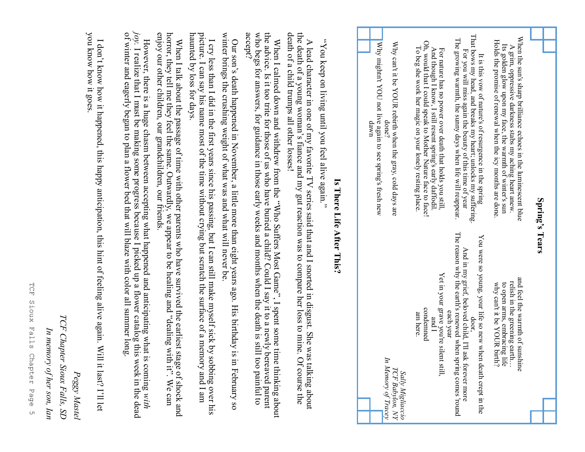| Why mightn't YOU not live again to see spring's fresh new | Oh, would that I could speak to Mother Nature face to face!                                                          | That bows my head, and breaks my heart; unlocks my suffering                                                                                                                                               | When the sun's sharp brilliance echoes in the luminescent blue                                                                      | Spring's Tears |
|-----------------------------------------------------------|----------------------------------------------------------------------------------------------------------------------|------------------------------------------------------------------------------------------------------------------------------------------------------------------------------------------------------------|-------------------------------------------------------------------------------------------------------------------------------------|----------------|
| Why can't it be YOUR rebirth when the gray, cold days are | To beg she work her magic on your lonely resting place.                                                              | The growing warmth, the sunny days when life will reappear.                                                                                                                                                | Holds the promise of renewal when the icy months are done                                                                           |                |
| done?                                                     | And though I know, I still resent spring's early daffodil                                                            | For you will miss again the beauty of this time of year                                                                                                                                                    | Its golden glow upon my face, the warmth of winter's sun                                                                            |                |
| uwap                                                      | For nature has no power death that holds you still.                                                                  | It is this vow of nature's of resurgence in the spring                                                                                                                                                     | A grim, oppressive darkness stabs my aching heart anew.                                                                             |                |
| In Memory of Tracey                                       | Yet in your grave you're silen<br>condemned<br>am here.<br>l bris<br>t still,<br>Sally Migliaccio<br>TCF Babylon, NY | The reason why the earth's renewed when spring comes round<br>You were so young, your life so new wher<br>And in my grief, beloved child, I'll ask forever more<br>each year<br>door<br>death crept in the | and feel the warmth of suns.<br>relish in the greening earth<br>to open arms, embracing life<br>why can't it be YOUR birth?<br>hine |                |

#### Is There Life After This? **Is There Life After This?**

"You keep on living until you feel alive again." "You keep on living until you feel alive again."

A lead character in one of my favorite TV series said that and I snorted in disgust. She was talking about the death of a young woman's fiance and my gut reaction was to compare her loss to mine. Of course the death of a child trumps all other losses! the death of a young woman's fiance and my gut reaction was to compare her loss to mine. Of course the death of a child trumps all other losses! A lead character in one of my favorite TV series said that and I snorted in disgust. She was talking about

who begs for answers, for guidance in those early weeks and months when the death is still too painful to  $accept$ ? the advice. Is it too trite for those of us who have buried a child? Could I say it to a newly bereaved parent who begs for answers, for guidance in those early weeks and months when the death is still too painful to the advice. Is it too trite for those of us who have buried a child? Could I say it to a newly bereaved parent When I calmed down and withdrew from the "Who Suffers Most Game", I spent some time thinking about When I calmed down and withdrew from the "Who Suffers Most Game", I spent some time thinking about

Our son's death happened in November, a little more than eight years ago. His birthday is in February so<br>winter brings the crushing weight of what was and what will never be. winter brings the crushing weight of what was and what will never be. Our son's death happened in November, a little more than eight years ago. His birthday is in February so

haunted by loss for days. haunted by loss for days. picture. I can say his name most of the time without crying but scratch the surface of a memory and I am picture. I can say his name most of the time without crying but scratch the surface of a memory and I am I cry less than I did in the first years since his passing, but I can still make myself sick by sobbing over his I cry less than I did in the first years since his passing, but I can still make myself sick by sobbing over his

When I talk about the passage of time with other parents who have survived the earliest stage of shock and horror, they tell me they feel the same. Outwardly, we appear to be healing and "dealing with it". We can enjoy ou horror, they tell me they feel the same. Outwardly, we appear to be healing and "dealing with it". We can enjoy our other children, our grandchildren, our friends. When I talk about the passage of time with other parents who have survived the earliest stage of shock and

*joy.* I realize that I must be making some progress because I picked up a flower catalog this week in the dead of winter and eagerly began to plan a flower bed that will blaze with color all summer long. of winter and eagerly began to plan a flower bed that will blaze with color all summer long. However, there is a huge chasm between accepting what happened and anticipating what is coming with However, there is a huge chasm between accepting what happened and anticipating what is coming I realize that I must be making some progress because I picked up a flower catalog this week in the dead

you know how it goes you know how it goes. I don't know how it happened, this happy anticipation, this hint of feeling alive again. Will it last? I'll let I don't know how it happened, this happy anticipation, this hint of feeling alive again. Will it last? I'll let

**TCF** TCF Sioux Falls Chapter Page 5Sioux Falls Chapter Page  $\cup$ 

*Peggy Mastel*

Peggy Mastel

*TCF Chapter Sioux Falls, SD*

TCF Chapter Sioux Falls, SD

*In memory of her son, Ian*

In memory of her son, Ian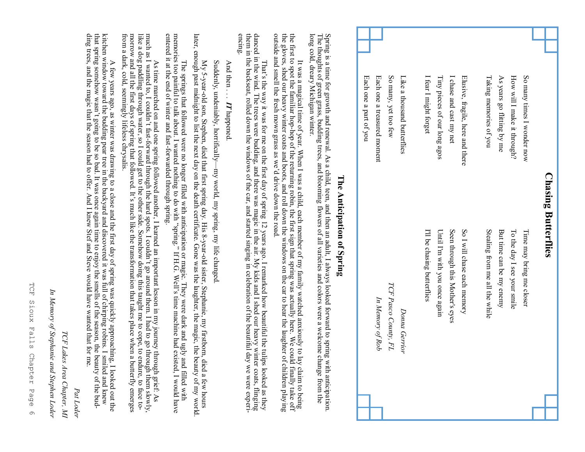| <b>Chasing Butterflies</b>                                                                                                                                                             |                                                                                                                                                                                                                                                                                                                                                                                                                                                                                                                 |
|----------------------------------------------------------------------------------------------------------------------------------------------------------------------------------------|-----------------------------------------------------------------------------------------------------------------------------------------------------------------------------------------------------------------------------------------------------------------------------------------------------------------------------------------------------------------------------------------------------------------------------------------------------------------------------------------------------------------|
| So many times I wonder now                                                                                                                                                             | Time may bring me closer                                                                                                                                                                                                                                                                                                                                                                                                                                                                                        |
| How will I make it through?                                                                                                                                                            | To the day I see your smile                                                                                                                                                                                                                                                                                                                                                                                                                                                                                     |
| As years go flitting by me                                                                                                                                                             | But time can be my enemy                                                                                                                                                                                                                                                                                                                                                                                                                                                                                        |
| Taking memories of you                                                                                                                                                                 | Stealing from me all the while                                                                                                                                                                                                                                                                                                                                                                                                                                                                                  |
| Elusive, fragile, here and there                                                                                                                                                       | So I will chase each memory                                                                                                                                                                                                                                                                                                                                                                                                                                                                                     |
| I chase and cast my net                                                                                                                                                                | Seen through this Mother's eyes                                                                                                                                                                                                                                                                                                                                                                                                                                                                                 |
| Tiny pieces of our long agos                                                                                                                                                           | Until I'm with you once again                                                                                                                                                                                                                                                                                                                                                                                                                                                                                   |
| I fear I might forget                                                                                                                                                                  | I'll be chasing butterflies                                                                                                                                                                                                                                                                                                                                                                                                                                                                                     |
| Like a thousand butterfles                                                                                                                                                             | Donna Gerrior                                                                                                                                                                                                                                                                                                                                                                                                                                                                                                   |
| So many, yet too few                                                                                                                                                                   | TCF Pasco County, FL                                                                                                                                                                                                                                                                                                                                                                                                                                                                                            |
| Each one a treasured moment                                                                                                                                                            | In Memory of Rob                                                                                                                                                                                                                                                                                                                                                                                                                                                                                                |
| Each one a part of you                                                                                                                                                                 |                                                                                                                                                                                                                                                                                                                                                                                                                                                                                                                 |
|                                                                                                                                                                                        | Spring is a time for growth and renewal. As a child, teen, and then an adult, I always looked forward to spring with anticipation.<br>The thoughts of green grass, budding trees, and blooming flowers of all varieties and color<br>The Anticipation of Spring                                                                                                                                                                                                                                                 |
| the gloves, shed our heavy winter coats and boots, and roll down the windows on the car to hear the laughter of<br>outside and smell the fresh mown grass as we'd drive down the road. | It was a magical time of year. When I was a child, each member of my family watched anxiously to lay claim to being<br>the first to spot the familiar hop-hop of the returning robin, the first sign that spring was actually her<br>children playing                                                                                                                                                                                                                                                           |
| encing.                                                                                                                                                                                | That's the way it was for me on the first day of spring 12 years ago. I remarked how beautiful the tulips looked as they danced in the wind. The trees were budding, and there was magic in the air. My kids and I shed our h                                                                                                                                                                                                                                                                                   |
| And then $\ldots$ . IT happened                                                                                                                                                        |                                                                                                                                                                                                                                                                                                                                                                                                                                                                                                                 |
| Suddenly, undeniably, horrifically—my world, my spring, my life changed                                                                                                                |                                                                                                                                                                                                                                                                                                                                                                                                                                                                                                                 |
|                                                                                                                                                                                        | My 5-year-old son, Stephen, died that first spring day. His 8-year-old sister, Stephanie, my firstborn, died a few hours<br>later, enough past midnight to list the next day on the death certificate. Gone was the laughter, the                                                                                                                                                                                                                                                                               |
| entered it at the end of winter and fast-forwarded through spring.                                                                                                                     | The springs that followed were no longer filled with anticipation or magic. They were dark and ugly and filled with memories too painful to talk about. I wanted nothing to do with "spring." If H.G. Well's time machine had                                                                                                                                                                                                                                                                                   |
|                                                                                                                                                                                        | like a dog paddling through water, so I could get to the other side. Somehow doing this taught me to cope, to endure, to face to-<br>morrow and all the first days of spring that followed. It's much like the transformation tha<br>much as I wanted to, I couldn't fast-forward through the hard spots. I couldn't go around them. I had to go through them slowly,<br>As time marched on and one spring followed another, I learned an important lesson in my journey through grief. As<br>butterfly emerges |
| ding trees, and the magic that the season had to offer. And I knew Stef and Steve would have wanted that for me.                                                                       | that spring somehow wasn't going to be so bad. It was once again time to enjoy the smells of the season, the beauty of the bud-<br>A few years ago, as winter was drawing to a close and the first day of spring was quickly approaching, I looked out the<br>kitchen window toward the budding pear tree in the backyard and discovered it was full of chirping rob                                                                                                                                            |

Ŧ ÷.

*Pat Loder*

Pat Loder

*TCF Lakes Area Chapter, MI*

*In Memory of Stephanie and Stephen Loder*

TCF Lakes Area Chapter, MI<br>In Memory of Stephanie and Stephen Loder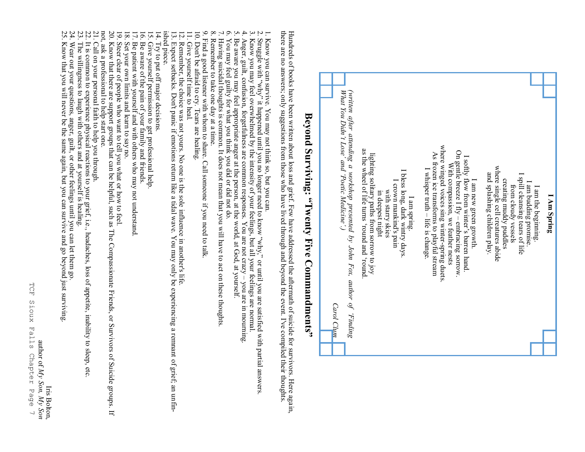

Iris Bolton, Iris Bolton,

23. The willingness to laugh with others and at yourself is healing. The willingness to laugh with others and at yourself is healing.

22. It is common to experience physical reactions to your grief, i.e., headaches, loss of appetite, inability to sleep, etc.

It is common to experience physical reactions to your grief, i.e., headaches, loss of appetite, inability to sleep, etc

24. Wear out your questions, anger, guilt, or other feelings until you can let them go. Wear out your questions, anger, guilt, or other feelings until you can let them go

25. Know that you will never be the same again, but you can survive and go beyond just surviving. Know that you will never be the same again, but you can survive and go beyond just surviving

## **Beyond Surviving: "Twenty Five Commandments"**

**I Am Spring** I am the beginning. I am budding promise. I spill cleansing tears of life from cloudy vessels creating muddy puddles where single cell creatures abide and splashing children play.

I Am Spring

I am new green growth. I softly flow from winter's barren hand.

I am new green growth.

where single cell creatures abide

creating muddy puddles

and splashing children play.

I spill cleansing tears of life

from cloudy vessels

I am budding promise

I am the beginning

I softly flow from winter's barren hand.

On gentle breeze I fly –

On gentle breeze  $I$  fly – embracing sorrow.

With compassion, we feather nests

With compassion, we feather nests

where winged voices sing winter

where winged voices sing winter-spring duets.

As frozen ice transforms to playful stream

As frozen ice transforms to playful stream

I whisper truth –

I whisper truth - life is change

I am spring. I bless long, dark wintry days. I crown mankind's pain

I am spring.

I bless long, dark wintry days

I crown mankind's pain

in deepest night with starry skies

m deepest night with starry skies

lighting solitary paths from sorrow to joy as the wheel of life turns 'round and 'round.

lighting solitary paths from sorrow to joy<br>as the wheel of life turns 'round and 'round

*(written after attending a workshop presented by John Fox, author of* 

*'Poetic Medicine*

*'.)*

*What You Didn*

*'t Lose' and* 

*'Finding* 

*Carol Clum*

Carol Clum

life is change.

spring duets.

embracing sorrow.

there are no answers; only suggestions from those who have lived through and beyond the event. I've compiled their thoughts Hundreds of books have been written about loss and grief. Few have addressed the aftermath of suicide for survivors. Here again, Hundreds of books have been written about loss and grief. Few have addressed the aftermath o there are no answers; only suggestions from the event. I've only suggestions from the event. I've compiled their thoughts. Hundreds of books have been written about loss and grief. Few have addressed the aftermath of suicide for survivors. Here again,

1. Know you can survive. You may not think so, but you can. Know you can survive. You may not think so, but you can.

2. Struggle with Struggle with "why" it happened until you are satisfied with", or until you are satisfied with partial answers "why" it happened until you no longer need to know "why," or until you are satisfied with partial answers.

Know you may feel overwhelmed by the intensity of your feelings, but all your feelings are normal.

 $4,$  $\tilde{\mathbf{c}}$ 4. Anger, guilt, confusion, forgetfulness are common responses. You are not crazy 3. Know you may feel overwhelmed by the intensity of your feelings, but all your feelings are normal. – you are in mourning. Anger, guilt, confusion, forgetfulness are common responses. You are not crazy - you are in mourning

 $\dot{\mathbf{c}}$ 5. Be aware you may feel appropriate anger at the person, at the world, at God, at yourself. Be aware you may feel appropriate anger at the person, at the world, at God, at yourself.

 $\sim$   $\sim$ 6. You may feel guilty for what you think you did or did not do. You may feel guilty for what you think you did or did not do.

7. Having suicidal thoughts is common. It does not mean that you will have to act on these thoughts. Having suicidal thoughts is common. It does not mean that you will have to act on these thoughts

 $\infty$ 8. Remember to take one day at a time. Remember to take one day at a time

9. Find a good listener with whom to share. Call someone if you need to talk 9. Find a good listener with whom to share. Call someone if you need to talk.

10. Don't be afraid to cry. Tears are healing. 10. Don't be afraid to cry. Tears are healing.

11. Give yourself time to heal. 11. Give yourself time to heal.

12. Remember, the choice was not yours. No one is the sole influence in another's life 12. Remember, the choice was not yours. No one is the sole influence in another's life.

13. Expect setbacks. Don't panic if emotions return like a tidal wave. You may only be experiencing a remnant of grief; an un 13. Expect setbacks. Don't panic if emotions return like a tidal wave. You may only be experiencing a remnant of grief, an unfin-

ished piece.

14. Try to put off major decisions.<br>15. Give yourself permission to ge

Give yourself permission to get professional help.

Be aware of the pain of your family and friends.

Be patient with yourself and with others who may not understand

Set your own limits and learn to say no.

 $\frac{16}{18}$ 

 $\overline{6}$ Steer clear of people who want to tell you what or how to feel.

ished piece.<br>14. Try to put off major decisions.<br>15. Give yourself permission to get professional help.<br>15. Give yourself permission to get professional help.<br>16. Be aware of the pain of your family and firends.<br>16. Be aw

 $\mathfrak{D}$ Know that there are support groups that can be helpful, such as The Compassionate Friends, or Survivors of Suicide groups. If

not, ask a professional to help start one.<br>21. Call on your personal faith to help you<br>22. It is common to experience physical re<br>23. The willingness to laugh with others a<br>24. Wear out your questions, anger, guilt,<br>25. K 21. Call on your personal faith to help you through. not, ask a professional to help start one. Call on your personal faith to help you through.